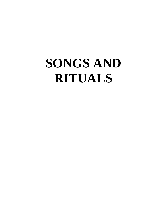# **SONGS AND RITUALS**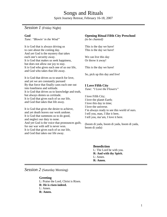# Songs and Rituals

Spirit Journey Retreat, February 16-18, 2007

# *Session 1* (Friday Night)

# **God**

*Tune: "Blowin' in the Wind"*

It is God that is always driving us to care about the coming day. And yet God is the mystery that takes each one's security away. It is God that makes us seek happiness, but does not allow our joy to stay. It is God who gives each one of us our life, and God who takes that life away.

It is God that drives us to search for love, and yet we are constantly pursued By that force that finally casts each one out into loneliness and solitude. It is God that drives us to knowledge and truth, but always denies us certitude. It is God that gives each of us our life, and God that takes that life away.

It is God that gives the desire to achieve, and yet death leaves our work undone. It is God that summons us to do good, and neglect our duty to none. And yet God is the voice that pronounces guilt, for our war with self is never won. It is God that gives each of us our life, and God that takes our life away.

# **Opening Ritual Fifth City Preschool**

*(to be chanted)*

This is the day we have! This is the day we have!

We can live this day Or throw it away!

This is the day we have!

So, pick up this day and live!

# **I Love Fifth City**

*Tune: "I Love the Flowers"*

I love Fifth City; I love the planet Earth; I love this day in time; I love the universe. I'm always ready to see this world of ours. I tell you, man, I like it here, I tell you, ma'am, I love it here.

(boom di yada, boom di yada, boom di yada, boom di yada)

> **Benediction** L: The Lord be with you. **R: And with thy Spirit.** L: Amen. **R: Amen.**

*Session 2* (Saturday Morning)

# **Greeting**

L: Praise the Lord, Christ is Risen. **R: He is risen indeed.** L: Amen. **R: Amen.**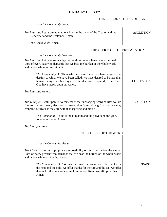# **THE DAILY OFFICE\***

| THE PRELUDE TO THE OFFICE                                                                                                                                                                                                                     |                   |
|-----------------------------------------------------------------------------------------------------------------------------------------------------------------------------------------------------------------------------------------------|-------------------|
| Let the Community rise up                                                                                                                                                                                                                     |                   |
| The Liturgist: Let us attend unto our lives in the name of the Creator and the<br>Redeemer and the Sustainer. Amen.                                                                                                                           | <b>ASCRIPTION</b> |
| The Community: Amen.                                                                                                                                                                                                                          |                   |
| THE OFFICE OF THE PREPARATION                                                                                                                                                                                                                 |                   |
| Let the Community bow down                                                                                                                                                                                                                    |                   |
| The Liturgist: Let us acknowledge the condition of our lives before the final<br>Lord of every past who demands that we bear the burden of the whole world<br>and before whom no secret is hid.                                               |                   |
| The Community: O Thou who hast ever been, we have negated the<br>destiny to which we have been called; we have desired to be less than<br>human beings; we have ignored the decisions required of our lives.<br>God have mercy upon us. Amen. | <b>CONFESSION</b> |
| The Liturgist: Amen.                                                                                                                                                                                                                          |                   |
| <i>The Liturgist:</i> I call upon us to remember the unchanging word of life: we are<br>free to live; our every decision is utterly significant. Our gift is that we may<br>embrace our lives as they are with thanksgiving and praise.       | <b>ABSOLUTION</b> |
| <i>The Community:</i> Thine is the kingdom and the power and the glory<br>forever and ever. Amen.                                                                                                                                             |                   |
| The Liturgist: Amen.                                                                                                                                                                                                                          |                   |
| THE OFFICE OF THE WORD                                                                                                                                                                                                                        |                   |
| Let the Community rise up                                                                                                                                                                                                                     |                   |
| <i>The Liturgist:</i> Let us appropriate the possibility of our lives before the eternal<br>Lord of every present who demands that we bear the burden of the whole world<br>and before whom all that is, is good.                             |                   |
| <i>The Community:</i> O Thou who art ever the same, we offer thanks for<br>the heat and the cold; we offer thanks for the fire and the ice; we offer<br>thanks for the creation and molding of our lives. We lift up our hearts.<br>Amen.     | <b>PRAISE</b>     |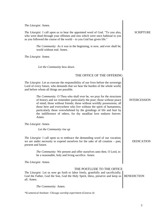| The Liturgist: Amen.                                                                                                                                                                                                                                                                                                                                                                                                                                 |                     |
|------------------------------------------------------------------------------------------------------------------------------------------------------------------------------------------------------------------------------------------------------------------------------------------------------------------------------------------------------------------------------------------------------------------------------------------------------|---------------------|
| <i>The Liturgist:</i> I call upon us to hear the appointed word of God. "To you also,<br>who were dead through your offenses and sins which were once habitual to you<br>as you followed the course of the world – to you God has given life."                                                                                                                                                                                                       | <b>SCRIPTURE</b>    |
| The Community: As it was in the beginning, is now, and ever shall be,<br>world without end. Amen.                                                                                                                                                                                                                                                                                                                                                    |                     |
| The Liturgist: Amen.                                                                                                                                                                                                                                                                                                                                                                                                                                 |                     |
| Let the Community bow down.                                                                                                                                                                                                                                                                                                                                                                                                                          |                     |
| THE OFFICE OF THE OFFERING                                                                                                                                                                                                                                                                                                                                                                                                                           |                     |
| The Liturgist: Let us execute the responsibility of our lives before the sovereign<br>Lord of every future, who demands that we bear the burden of the whole world,<br>and before whom all things are possible.                                                                                                                                                                                                                                      |                     |
| The Community: O Thou who shall ever be, we pray for the structures<br>of history and we remember particularly the poor; those without peace<br>of mind; those without friends; those without worldly possessions; all<br>those here and everywhere who live without the spirit of humanness,<br>particularly those overwhelmed by the grindings of life and hurt by<br>the indifference of others, for thy steadfast love endures forever.<br>Amen. | <b>INTERCESSION</b> |
| The Liturgist: Amen.                                                                                                                                                                                                                                                                                                                                                                                                                                 |                     |
| Let the Community rise up                                                                                                                                                                                                                                                                                                                                                                                                                            |                     |
| The Liturgist: I call upon us to embrace the demanding word of our vocation;<br>we are under necessity to expend ourselves for the sake of all creation – past,<br>present and future.                                                                                                                                                                                                                                                               | DEDICATION          |
| <i>The Community:</i> We present and offer ourselves unto thee, O Lord, to<br>be a reasonable, holy and living sacrifice. Amen.                                                                                                                                                                                                                                                                                                                      |                     |
| The Liturgist: Amen.                                                                                                                                                                                                                                                                                                                                                                                                                                 |                     |
| THE POSTLUDE TO THE OFFICE<br><i>The Liturgist:</i> Let us now go forth to labor freely, gratefully and sacrificially;<br>God the Father, God the Son, God the Holy Spirit, bless, preserve and keep us<br>all. Amen.                                                                                                                                                                                                                                | <b>BENEDICTION</b>  |
| The Community: Amen.                                                                                                                                                                                                                                                                                                                                                                                                                                 |                     |

*\*Ecumenical Institute: Chicago worship experiment (Geneva 4)*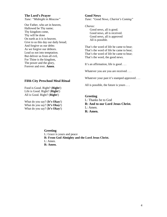#### **The Lord's Prayer**

*Tune: "Midnight in Moscow"*

Our Father, who art in heaven, Hallowed be Thy name; Thy kingdom come, Thy will be done On earth as it is in heaven. Give to us this day our daily bread; And forgive us our debts As we forgive our debtors. Lead us not into temptation. But deliver us from all evil, For Thine is the kingdom, The power and the glory, Forever and ever. **Amen**.

#### **Good News**

*Tune: "Good News, Chariot's Coming"*

*Chorus:*

Good news, all is good. Good news, all is received. Good news, all is approved All is possible.

That's the word of life he came to bear; That's the word of life he came to bear; That's the word of life he came to bear; That's the word, the good news.

It's an affirmation, life is good ...

Whatever you are you are received . . .

Whatever your past it's stamped approved . . .

All is possible, the future is yours . . .

#### Food is Good. Right? (**Right**!) Life is Good. Right? (**Right**!) All is Good. Right? (**Right**!)

**Fifth City Preschool Meal Ritual**

What do you say? (**It's Okay**!) What do you say? (**It's Okay**!) What do you say? (**It's Okay**!)

**Greeting** L: Thanks be to God **R: And to our Lord Jesus Christ.**  L: Amen. **R: Amen.**

#### **Greeting** L: Grace is yours and peace **R: From God Almighty and the Lord Jesus Christ.**  L: Amen. **R: Amen.**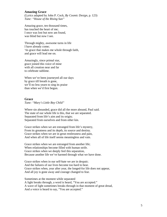### **Amazing Grace**

(Lyrics adapted by John P. Cock, *By Cosmic Design*, p. 123) *Tune: "House of the Rising Sun"*

Amazing grace, ten thousand times, has touched the heart of me; I once was lost but now am found, was blind but now I see.

Through mighty, awesome turns in life I have already come; 'tis grace that makes me whole through faith, and grace will lead me on.

Amazingly, since primal star, grace joined this voice of mine with all creation near and far to celebrate sublime.

When we've been journeyed all our days by grace till breath is gone, we'll no less yearn to sing its praise than when we'd first begun.

#### **Grace**

*Tune: "Mary's Little Boy Child"*

Where sin abounded, grace did all the more abound, Paul said. The state of our whole life is this, that we are separated. Separated from life's aim and its origin; Separated from ourselves and from other kin.

Grace strikes when we are estranged from life's mystery, From its greatness and its depth, its source and destiny. Grace strikes when we are in great restlessness and pain, And when all of life itself seems meaningless and vain.

Grace strikes when we are estranged from another life; When relationships become filled with human strife. Grace strikes when we deeply feel this separation, Because another life we've harmed through what we have done.

Grace strikes when in our self-hate we are in despair; And the failures of our lives become too hard to bear. Grace strikes when, year after year, the longed-for life does not appear, And all joy is gone away and courage changed to fear.

Sometimes at the moment while separated A light breaks through, a word is heard, "You are accepted." A wave of light sometimes breaks through in that moment of great dread, And a voice is heard to say, "You are accepted."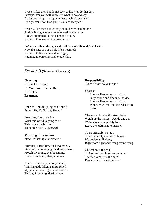Grace strikes then but do not seek to know or do that day. Perhaps later you will know just what to do and say. As for now simply accept the fact of what's been said By a greater Thou than you, "You are accepted."

Grace strikes then but we may be no better than before; And believing may not be increased to any more. But we are united to life's aim and origin, Reunited to ourselves and to other kin.

"Where sin abounded, grace did all the more abound," Paul said. Now the state of our whole life is reunited; Reunited to life's aim and its origin, Reunited to ourselves and to other kin.

# *Session 3* (Saturday Afternoon)

# **Greeting** L: It is to freedom

**R: You have been called.** L: Amen. **R: Amen.**

**Free to Decide** (sung as a round) *Tune: "Hi, Ho Nobody Home"*

Free, free, free to decide What this world is going to be: This indicative is ours To be free, free . . . (*repeat*)

# **Morning of Freedom**

*Tune: "Morning Has Broken"*

Morning of freedom, final awareness, Standing on nothing, groundlessly there, Myself inventing, ever becoming, Never completed, always undone.

Anchored securely, wholly united, Warring gods fallen, painful relief, My yoke is easy, light is the burden. The day is coming, destiny won.

**Responsibility** *Tune: "Yellow Submarine"*

*Chorus:*

Free we live in responsibility, Duty bound and free in relativity. Free we live in responsibility, Whoever we may be, their deeds are history.

Observe and judge the given facts. Weigh up the values. Decide and act. We're alone, completely free. Leave the judgment to history.

To no principle, no law, To no authority can we withdraw. We decide it all alone, Right from right and wrong from wrong.

Obligation is the call. To God and neighbor, surrender all. The free venture is the deed Rendered up to meet the need.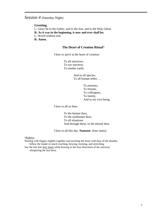# *Session 4* (Saturday Night)

#### **Greeting**

L: Glory be to the Father, and to the Son, and to the Holy Ghost. **R: As it was in the beginning, is now and ever shall be;** L: World without end. **R: Amen.**

# **The Heart of Creation Ritual**\*

I bow to *spirit* at the heart of creation:

To all universes, To our universe, To mother earth;

> And to all species, To all human tribes . . .

> > To enemies, To friends, To colleagues, To family, And to my own being.

I bow to all as thou:

To the human thou, To the nonhuman thou, To all situations And through these, to the eternal *thou*.

I bow to all this day. **Namaste**. (four times)

\*Rubrics

Starting with fingers slightly together and touching the heart with base of the thumbs, follow the leader in much reaching, bowing, twisting, and stretching.

Say the last line four times while bowing in the four directions of the universe, whispering the last three.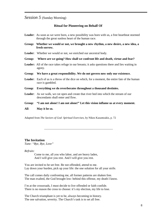# *Session 5* (Sunday Morning)

#### **Ritual for Pioneering on Behalf Of**

|        | <b>Leader:</b> As soon as we were born, a new possibility was born with us, a free heartbeat stormed<br>through the great sunless heart of the human race. |
|--------|------------------------------------------------------------------------------------------------------------------------------------------------------------|
|        | Group: Whether we would or not, we brought a new rhythm, a new desire, a new idea, a<br>fresh sorrow.                                                      |
|        | <b>Leader:</b> Whether we would or not, we enriched our ancestral body.                                                                                    |
| Group: | Where are we going? How shall we confront life and death, virtue and fear?                                                                                 |
|        | <b>Leader:</b> All of the race takes refuge in our breasts; it asks questions there and lies waiting in<br>agony.                                          |
|        | Group: We have a great responsibility. We do not govern now only our existence.                                                                            |
|        | <b>Leader:</b> Each of us is a throw of the dice on which, for a moment, the entire fate of the human<br>race is gambled.                                  |
|        | Group: Everything we do reverberates throughout a thousand destinies.                                                                                      |
|        | <b>Leader:</b> As we walk, we cut open and create that river bed into which the stream of our<br>descendants shall enter and flow.                         |
|        | Group: "I am not alone! I am not alone!" Let this vision inflame us at every moment.                                                                       |
| All:   | May it be so.                                                                                                                                              |

Adapted from *The Saviors of God: Spiritual Exercises,* by Nikos Kazantzakis, p. 72

#### **The Invitation**

*Tune: "Bye, Bye, Love"*

*Refrain:*

Come to me, all you who labor, and are heavy laden, And I will give you rest. And I will give you rest.

You are invited to be set free. Be not offended, attend to me. Lay down your burden, pick up your life: the one solution for all your strife.

The call comes daily confronting me, all former patterns are shaken free. The man exalted, the God brought low: behind this offense, my death I know.

I'm at the crossroads, I must decide to live offended or faith confide. There is no reason the cross to choose: it's my election, my life to lose.

The Church triumphant is yet to be, always becoming in history. The one salvation, severity. The Church's task is to set all free.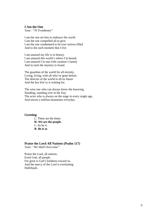#### **I Am the One**

*Tune: "76 Trombones"*

I am the one set free to embrace the world. I am the one compelled all to give. I am the one condemned to be ever sorrow-filled And to die each moment that I live.

I am amazed my life is in history. I am amazed this world's where I'm bound. I am amazed I'm one with creation's family And in each the mystery is found.

The guardian of the world for all eternity, Living, living, with all who've gone before, The director of the world in all its future And the key hist'ry is waiting for.

The wise one who can always know the knowing, Standing, standing ever in the fray. The actor who is always on the stage in every single age, And moves a million mountains everyday.

#### **Greeting**

L: These are the times. **R: We are the people.**  L: So be it. **R**: **Be it so**

## **Praise the Lord All Nations (Psalm 117)**

*Tune: "We Shall Overcome"*

Praise the Lord, all nations. Extol God, all people. For great is God's kindness toward us, And the mercy of the Lord is everlasting. Hallelujah.